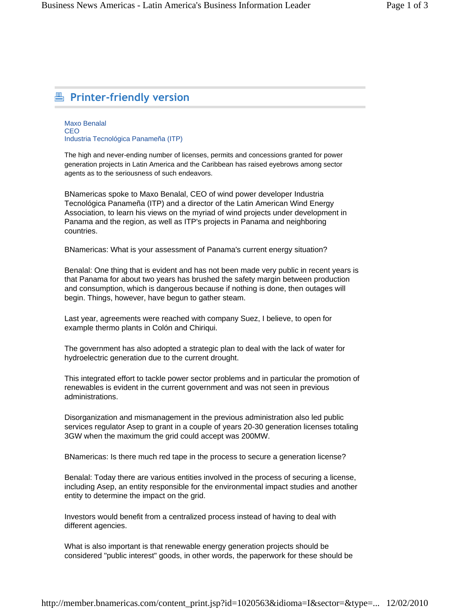## **Printer-friendly version**

Maxo Benalal CEO Industria Tecnológica Panameña (ITP)

The high and never-ending number of licenses, permits and concessions granted for power generation projects in Latin America and the Caribbean has raised eyebrows among sector agents as to the seriousness of such endeavors.

BNamericas spoke to Maxo Benalal, CEO of wind power developer Industria Tecnológica Panameña (ITP) and a director of the Latin American Wind Energy Association, to learn his views on the myriad of wind projects under development in Panama and the region, as well as ITP's projects in Panama and neighboring countries.

BNamericas: What is your assessment of Panama's current energy situation?

Benalal: One thing that is evident and has not been made very public in recent years is that Panama for about two years has brushed the safety margin between production and consumption, which is dangerous because if nothing is done, then outages will begin. Things, however, have begun to gather steam.

Last year, agreements were reached with company Suez, I believe, to open for example thermo plants in Colón and Chiriqui.

The government has also adopted a strategic plan to deal with the lack of water for hydroelectric generation due to the current drought.

This integrated effort to tackle power sector problems and in particular the promotion of renewables is evident in the current government and was not seen in previous administrations.

Disorganization and mismanagement in the previous administration also led public services regulator Asep to grant in a couple of years 20-30 generation licenses totaling 3GW when the maximum the grid could accept was 200MW.

BNamericas: Is there much red tape in the process to secure a generation license?

Benalal: Today there are various entities involved in the process of securing a license, including Asep, an entity responsible for the environmental impact studies and another entity to determine the impact on the grid.

Investors would benefit from a centralized process instead of having to deal with different agencies.

What is also important is that renewable energy generation projects should be considered "public interest" goods, in other words, the paperwork for these should be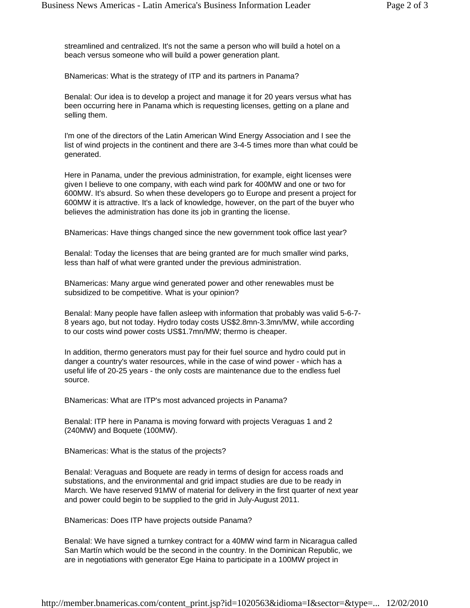streamlined and centralized. It's not the same a person who will build a hotel on a beach versus someone who will build a power generation plant.

BNamericas: What is the strategy of ITP and its partners in Panama?

Benalal: Our idea is to develop a project and manage it for 20 years versus what has been occurring here in Panama which is requesting licenses, getting on a plane and selling them.

I'm one of the directors of the Latin American Wind Energy Association and I see the list of wind projects in the continent and there are 3-4-5 times more than what could be generated.

Here in Panama, under the previous administration, for example, eight licenses were given I believe to one company, with each wind park for 400MW and one or two for 600MW. It's absurd. So when these developers go to Europe and present a project for 600MW it is attractive. It's a lack of knowledge, however, on the part of the buyer who believes the administration has done its job in granting the license.

BNamericas: Have things changed since the new government took office last year?

Benalal: Today the licenses that are being granted are for much smaller wind parks, less than half of what were granted under the previous administration.

BNamericas: Many argue wind generated power and other renewables must be subsidized to be competitive. What is your opinion?

Benalal: Many people have fallen asleep with information that probably was valid 5-6-7- 8 years ago, but not today. Hydro today costs US\$2.8mn-3.3mn/MW, while according to our costs wind power costs US\$1.7mn/MW; thermo is cheaper.

In addition, thermo generators must pay for their fuel source and hydro could put in danger a country's water resources, while in the case of wind power - which has a useful life of 20-25 years - the only costs are maintenance due to the endless fuel source.

BNamericas: What are ITP's most advanced projects in Panama?

Benalal: ITP here in Panama is moving forward with projects Veraguas 1 and 2 (240MW) and Boquete (100MW).

BNamericas: What is the status of the projects?

Benalal: Veraguas and Boquete are ready in terms of design for access roads and substations, and the environmental and grid impact studies are due to be ready in March. We have reserved 91MW of material for delivery in the first quarter of next year and power could begin to be supplied to the grid in July-August 2011.

BNamericas: Does ITP have projects outside Panama?

Benalal: We have signed a turnkey contract for a 40MW wind farm in Nicaragua called San Martín which would be the second in the country. In the Dominican Republic, we are in negotiations with generator Ege Haina to participate in a 100MW project in